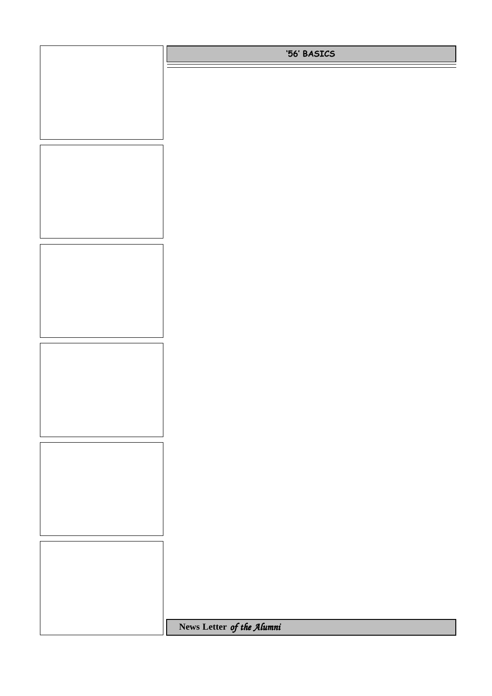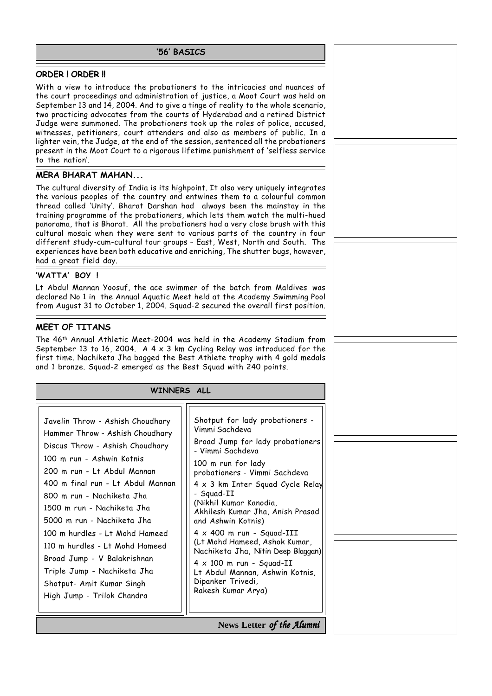### **'56' BASICS**

### **ORDER ! ORDER !!**

With a view to introduce the probationers to the intricacies and nuances of the court proceedings and administration of justice, a Moot Court was held on September 13 and 14, 2004. And to give a tinge of reality to the whole scenario, two practicing advocates from the courts of Hyderabad and a retired District Judge were summoned. The probationers took up the roles of police, accused, witnesses, petitioners, court attenders and also as members of public. In a lighter vein, the Judge, at the end of the session, sentenced all the probationers present in the Moot Court to a rigorous lifetime punishment of 'selfless service to the nation'.

### **MERA BHARAT MAHAN...**

The cultural diversity of India is its highpoint. It also very uniquely integrates the various peoples of the country and entwines them to a colourful common thread called 'Unity'. Bharat Darshan had always been the mainstay in the training programme of the probationers, which lets them watch the multi-hued panorama, that is Bharat. All the probationers had a very close brush with this cultural mosaic when they were sent to various parts of the country in four different study-cum-cultural tour groups – East, West, North and South. The experiences have been both educative and enriching, The shutter bugs, however, had a great field day.

### **'WATTA' BOY !**

Lt Abdul Mannan Yoosuf, the ace swimmer of the batch from Maldives was declared No 1 in the Annual Aquatic Meet held at the Academy Swimming Pool from August 31 to October 1, 2004. Squad-2 secured the overall first position.

### **MEET OF TITANS**

The 46th Annual Athletic Meet-2004 was held in the Academy Stadium from September 13 to 16, 2004. A  $4 \times 3$  km Cycling Relay was introduced for the first time. Nachiketa Jha bagged the Best Athlete trophy with 4 gold medals and 1 bronze. Squad-2 emerged as the Best Squad with 240 points.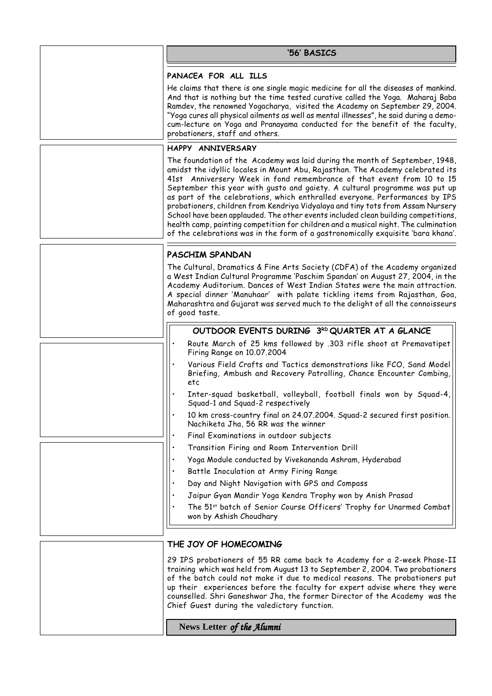| '56' BASICS                                                                                                                                                                                                                                                                                                                                                                                                                                                                                                                                                                                                                                                                                                                                             |
|---------------------------------------------------------------------------------------------------------------------------------------------------------------------------------------------------------------------------------------------------------------------------------------------------------------------------------------------------------------------------------------------------------------------------------------------------------------------------------------------------------------------------------------------------------------------------------------------------------------------------------------------------------------------------------------------------------------------------------------------------------|
| PANACEA FOR ALL ILLS                                                                                                                                                                                                                                                                                                                                                                                                                                                                                                                                                                                                                                                                                                                                    |
| He claims that there is one single magic medicine for all the diseases of mankind.<br>And that is nothing but the time tested curative called the Yoga. Maharaj Baba<br>Ramdev, the renowned Yogacharya, visited the Academy on September 29, 2004.<br>"Yoga cures all physical ailments as well as mental illnesses", he said during a demo-<br>cum-lecture on Yoga and Pranayama conducted for the benefit of the faculty,<br>probationers, staff and others.                                                                                                                                                                                                                                                                                         |
| HAPPY ANNIVERSARY                                                                                                                                                                                                                                                                                                                                                                                                                                                                                                                                                                                                                                                                                                                                       |
| The foundation of the Academy was laid during the month of September, 1948,<br>amidst the idyllic locales in Mount Abu, Rajasthan. The Academy celebrated its<br>41st Anniversery Week in fond remembrance of that event from 10 to 15<br>September this year with gusto and gaiety. A cultural programme was put up<br>as part of the celebrations, which enthralled everyone. Performances by IPS<br>probationers, children from Kendriya Vidyalaya and tiny tots from Assam Nursery<br>School have been applauded. The other events included clean building competitions,<br>health camp, painting competition for children and a musical night. The culmination<br>of the celebrations was in the form of a gastronomically exquisite 'bara khana'. |
| PASCHIM SPANDAN                                                                                                                                                                                                                                                                                                                                                                                                                                                                                                                                                                                                                                                                                                                                         |
| The Cultural, Dramatics & Fine Arts Society (CDFA) of the Academy organized<br>a West Indian Cultural Programme 'Paschim Spandan' on August 27, 2004, in the<br>Academy Auditorium. Dances of West Indian States were the main attraction.<br>A special dinner 'Manuhaar' with palate tickling items from Rajasthan, Goa,<br>Maharashtra and Gujarat was served much to the delight of all the connoisseurs<br>of good taste.                                                                                                                                                                                                                                                                                                                           |
| OUTDOOR EVENTS DURING 3RD QUARTER AT A GLANCE                                                                                                                                                                                                                                                                                                                                                                                                                                                                                                                                                                                                                                                                                                           |
| Route March of 25 kms followed by .303 rifle shoot at Premavatipet<br>Firing Range on 10.07.2004                                                                                                                                                                                                                                                                                                                                                                                                                                                                                                                                                                                                                                                        |
| Various Field Crafts and Tactics demonstrations like FCO, Sand Model<br>Briefing, Ambush and Recovery Patrolling, Chance Encounter Combing,<br>etc                                                                                                                                                                                                                                                                                                                                                                                                                                                                                                                                                                                                      |
| Inter-squad basketball, volleyball, football finals won by Squad-4,<br>Squad-1 and Squad-2 respectively                                                                                                                                                                                                                                                                                                                                                                                                                                                                                                                                                                                                                                                 |
| 10 km cross-country final on 24.07.2004. Squad-2 secured first position.<br>Nachiketa Jha, 56 RR was the winner                                                                                                                                                                                                                                                                                                                                                                                                                                                                                                                                                                                                                                         |
| Final Examinations in outdoor subjects                                                                                                                                                                                                                                                                                                                                                                                                                                                                                                                                                                                                                                                                                                                  |
| Transition Firing and Room Intervention Drill                                                                                                                                                                                                                                                                                                                                                                                                                                                                                                                                                                                                                                                                                                           |
| Yoga Module conducted by Vivekananda Ashram, Hyderabad                                                                                                                                                                                                                                                                                                                                                                                                                                                                                                                                                                                                                                                                                                  |
| Battle Inoculation at Army Firing Range                                                                                                                                                                                                                                                                                                                                                                                                                                                                                                                                                                                                                                                                                                                 |
| Day and Night Navigation with GPS and Compass                                                                                                                                                                                                                                                                                                                                                                                                                                                                                                                                                                                                                                                                                                           |
| Jaipur Gyan Mandir Yoga Kendra Trophy won by Anish Prasad<br>The 51 <sup>st</sup> batch of Senior Course Officers' Trophy for Unarmed Combat<br>won by Ashish Choudhary                                                                                                                                                                                                                                                                                                                                                                                                                                                                                                                                                                                 |
| THE JOY OF HOMECOMING                                                                                                                                                                                                                                                                                                                                                                                                                                                                                                                                                                                                                                                                                                                                   |
| 29 IPS probationers of 55 RR came back to Academy for a 2-week Phase-II<br>training which was held from August 13 to September 2, 2004. Two probationers<br>of the batch could not make it due to medical reasons. The probationers put<br>up their experiences before the faculty for expert advise where they were                                                                                                                                                                                                                                                                                                                                                                                                                                    |

 **News Letter** *of the Alumni of* 

Chief Guest during the valedictory function.

counselled. Shri Ganeshwar Jha, the former Director of the Academy was the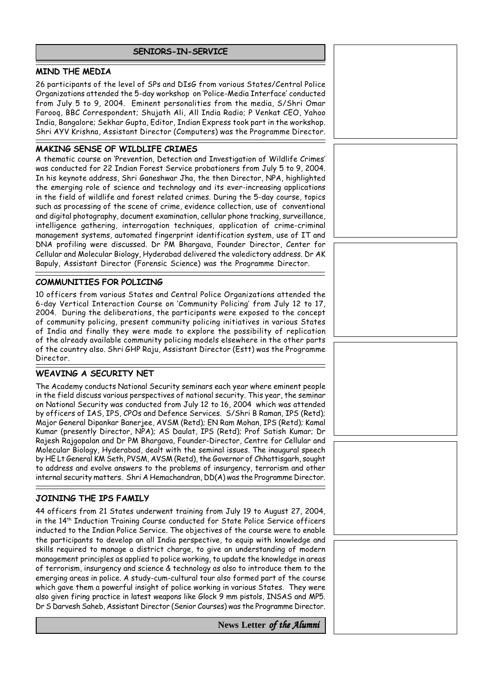## **SENIORS-IN-SERVICE**

# **MIND THE MEDIA**

26 participants of the level of SPs and DIsG from various States/Central Police Organizations attended the 5-day workshop on 'Police-Media Interface' conducted from July 5 to 9, 2004. Eminent personalities from the media, S/Shri Omar Farooq, BBC Correspondent; Shujath Ali, All India Radio; P Venkat CEO, Yahoo India, Bangalore; Sekhar Gupta, Editor, Indian Express took part in the workshop. Shri AYV Krishna, Assistant Director (Computers) was the Programme Director.

# **MAKING SENSE OF WILDLIFE CRIMES**

A thematic course on 'Prevention, Detection and Investigation of Wildlife Crimes' was conducted for 22 Indian Forest Service probationers from July 5 to 9, 2004. In his keynote address, Shri Ganeshwar Jha, the then Director, NPA, highlighted the emerging role of science and technology and its ever-increasing applications in the field of wildlife and forest related crimes. During the 5-day course, topics such as processing of the scene of crime, evidence collection, use of conventional and digital photography, document examination, cellular phone tracking, surveillance, intelligence gathering, interrogation techniques, application of crime-criminal management systems, automated fingerprint identification system, use of IT and DNA profiling were discussed. Dr PM Bhargava, Founder Director, Center for Cellular and Molecular Biology, Hyderabad delivered the valedictory address. Dr AK Bapuly, Assistant Director (Forensic Science) was the Programme Director.

## **COMMUNITIES FOR POLICING**

10 officers from various States and Central Police Organizations attended the 6-day Vertical Interaction Course on 'Community Policing' from July 12 to 17, 2004. During the deliberations, the participants were exposed to the concept of community policing, present community policing initiatives in various States of India and finally they were made to explore the possibility of replication of the already available community policing models elsewhere in the other parts of the country also. Shri GHP Raju, Assistant Director (Estt) was the Programme Director.

# **WEAVING A SECURITY NET**

The Academy conducts National Security seminars each year where eminent people in the field discuss various perspectives of national security. This year, the seminar on National Security was conducted from July 12 to 16, 2004 which was attended by officers of IAS, IPS, CPOs and Defence Services. S/Shri B Raman, IPS (Retd); Major General Dipankar Banerjee, AVSM (Retd); EN Ram Mohan, IPS (Retd); Kamal Kumar (presently Director, NPA); AS Daulat, IPS (Retd); Prof Satish Kumar; Dr Rajesh Rajgopalan and Dr PM Bhargava, Founder-Director, Centre for Cellular and Molecular Biology, Hyderabad, dealt with the seminal issues. The inaugural speech by HE Lt General KM Seth, PVSM, AVSM (Retd), the Governor of Chhattisgarh, sought to address and evolve answers to the problems of insurgency, terrorism and other internal security matters. Shri A Hemachandran, DD(A) was the Programme Director.

# **JOINING THE IPS FAMILY**

44 officers from 21 States underwent training from July 19 to August 27, 2004, in the 14th Induction Training Course conducted for State Police Service officers inducted to the Indian Police Service. The objectives of the course were to enable the participants to develop an all India perspective, to equip with knowledge and skills required to manage a district charge, to give an understanding of modern management principles as applied to police working, to update the knowledge in areas of terrorism, insurgency and science & technology as also to introduce them to the emerging areas in police. A study-cum-cultural tour also formed part of the course which gave them a powerful insight of police working in various States. They were also given firing practice in latest weapons like Glock 9 mm pistols, INSAS and MP5. Dr S Darvesh Saheb, Assistant Director (Senior Courses) was the Programme Director.

 **News Letter** *of the Alumni of*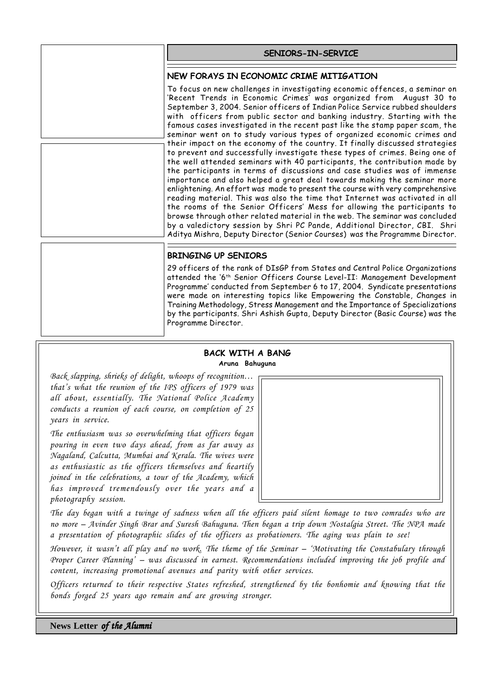| SENIORS-IN-SERVICE                                                                                                                                                                                                                                                                                                                                                                                                                                                      |
|-------------------------------------------------------------------------------------------------------------------------------------------------------------------------------------------------------------------------------------------------------------------------------------------------------------------------------------------------------------------------------------------------------------------------------------------------------------------------|
| NEW FORAYS IN ECONOMIC CRIME MITIGATION                                                                                                                                                                                                                                                                                                                                                                                                                                 |
| To focus on new challenges in investigating economic offences, a seminar on<br>'Recent Trends in Economic Crimes' was organized from August 30 to<br>September 3, 2004. Senior officers of Indian Police Service rubbed shoulders<br>with officers from public sector and banking industry. Starting with the<br>famous cases investigated in the recent past like the stamp paper scam, the<br>seminar went on to study various types of organized economic crimes and |

| their impact on the economy of the country. It finally discussed strategies    |
|--------------------------------------------------------------------------------|
| to prevent and successfully investigate these types of crimes. Being one of    |
| the well attended seminars with 40 participants, the contribution made by      |
| the participants in terms of discussions and case studies was of immense       |
| importance and also helped a great deal towards making the seminar more        |
| enlightening. An effort was made to present the course with very comprehensive |
| reading material. This was also the time that Internet was activated in all    |
| the rooms of the Senior Officers' Mess for allowing the participants to        |
| browse through other related material in the web. The seminar was concluded    |
| by a valedictory session by Shri PC Pande, Additional Director, CBI. Shri      |
| Aditya Mishra, Deputy Director (Senior Courses) was the Programme Director.    |
|                                                                                |

# **BRINGING UP SENIORS**

29 officers of the rank of DIsGP from States and Central Police Organizations attended the '6th Senior Officers Course Level-II: Management Development Programme' conducted from September 6 to 17, 2004. Syndicate presentations were made on interesting topics like Empowering the Constable, Changes in Training Methodology, Stress Management and the Importance of Specializations by the participants. Shri Ashish Gupta, Deputy Director (Basic Course) was the Programme Director.

#### **BACK WITH A BANG Aruna Bahuguna**

*Back slapping, shrieks of delight, whoops of recognition… that's what the reunion of the IPS officers of 1979 was all about, essentially. The National Police Academy conducts a reunion of each course, on completion of 25 years in service.*

*The enthusiasm was so overwhelming that officers began pouring in even two days ahead, from as far away as Nagaland, Calcutta, Mumbai and Kerala. The wives were as enthusiastic as the officers themselves and heartily joined in the celebrations, a tour of the Academy, which has improved tremendously over the years and a photography session.*



*The day began with a twinge of sadness when all the officers paid silent homage to two comrades who are no more – Avinder Singh Brar and Suresh Bahuguna. Then began a trip down Nostalgia Street. The NPA made a presentation of photographic slides of the officers as probationers. The aging was plain to see!*

*However, it wasn't all play and no work. The theme of the Seminar – 'Motivating the Constabulary through Proper Career Planning' – was discussed in earnest. Recommendations included improving the job profile and content, increasing promotional avenues and parity with other services.*

*Officers returned to their respective States refreshed, strengthened by the bonhomie and knowing that the bonds forged 25 years ago remain and are growing stronger.*

 **News Letter** *of the Alumni of*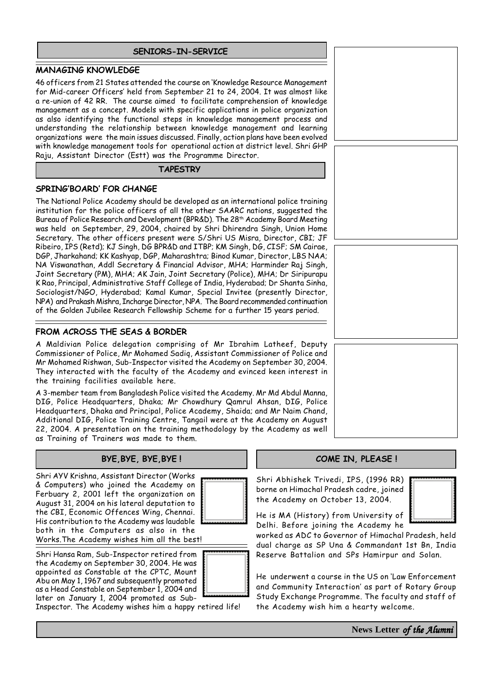## **SENIORS-IN-SERVICE**

# **MANAGING KNOWLEDGE**

46 officers from 21 States attended the course on 'Knowledge Resource Management for Mid-career Officers' held from September 21 to 24, 2004. It was almost like a re-union of 42 RR. The course aimed to facilitate comprehension of knowledge management as a concept. Models with specific applications in police organization as also identifying the functional steps in knowledge management process and understanding the relationship between knowledge management and learning organizations were the main issues discussed. Finally, action plans have been evolved with knowledge management tools for operational action at district level. Shri GHP Raju, Assistant Director (Estt) was the Programme Director.

#### **TAPESTRY**

# **SPRING'BOARD' FOR CHANGE**

The National Police Academy should be developed as an international police training institution for the police officers of all the other SAARC nations, suggested the Bureau of Police Research and Development (BPR&D). The 28<sup>th</sup> Academy Board Meeting was held on September, 29, 2004, chaired by Shri Dhirendra Singh, Union Home Secretary. The other officers present were S/Shri US Misra, Director, CBI; JF Ribeiro, IPS (Retd); KJ Singh, DG BPR&D and ITBP; KM Singh, DG, CISF; SM Cairae, DGP, Jharkahand; KK Kashyap, DGP, Maharashtra; Binod Kumar, Director, LBS NAA; NA Viswanathan, Addl Secretary & Financial Advisor, MHA; Harminder Raj Singh, Joint Secretary (PM), MHA; AK Jain, Joint Secretary (Police), MHA; Dr Siripurapu K Rao, Principal, Administrative Staff College of India, Hyderabad; Dr Shanta Sinha, Sociologist/NGO, Hyderabad; Kamal Kumar, Special Invitee (presently Director, NPA) and Prakash Mishra, Incharge Director, NPA. The Board recommended continuation of the Golden Jubilee Research Fellowship Scheme for a further 15 years period.

# **FROM ACROSS THE SEAS & BORDER**

A Maldivian Police delegation comprising of Mr Ibrahim Latheef, Deputy Commissioner of Police, Mr Mohamed Sadiq, Assistant Commissioner of Police and Mr Mohamed Rishwan, Sub-Inspector visited the Academy on September 30, 2004. They interacted with the faculty of the Academy and evinced keen interest in the training facilities available here.

A 3-member team from Bangladesh Police visited the Academy. Mr Md Abdul Manna, DIG, Police Headquarters, Dhaka; Mr Chowdhury Qamrul Ahsan, DIG, Police Headquarters, Dhaka and Principal, Police Academy, Shaida; and Mr Naim Chand, Additional DIG, Police Training Centre, Tangail were at the Academy on August 22, 2004. A presentation on the training methodology by the Academy as well as Training of Trainers was made to them.

# **BYE,BYE, BYE,BYE !**

Shri AYV Krishna, Assistant Director (Works & Computers) who joined the Academy on Ferbuary 2, 2001 left the organization on August 31, 2004 on his lateral deputation to the CBI, Economic Offences Wing, Chennai. His contribution to the Academy was laudable both in the Computers as also in the Works.The Academy wishes him all the best!



Shri Hansa Ram, Sub-Inspector retired from the Academy on September 30, 2004. He was appointed as Constable at the CPTC, Mount Abu on May 1, 1967 and subsequently promoted as a Head Constable on September 1, 2004 and later on January 1, 2004 promoted as Sub-



Inspector. The Academy wishes him a happy retired life!

# **COME IN, PLEASE !**

Shri Abhishek Trivedi, IPS, (1996 RR) borne on Himachal Pradesh cadre, joined the Academy on October 13, 2004.



He is MA (History) from University of Delhi. Before joining the Academy he

worked as ADC to Governor of Himachal Pradesh, held dual charge as SP Una & Commandant 1st Bn, India Reserve Battalion and SPs Hamirpur and Solan.

He underwent a course in the US on 'Law Enforcement and Community Interaction' as part of Rotary Group Study Exchange Programme. The faculty and staff of the Academy wish him a hearty welcome.